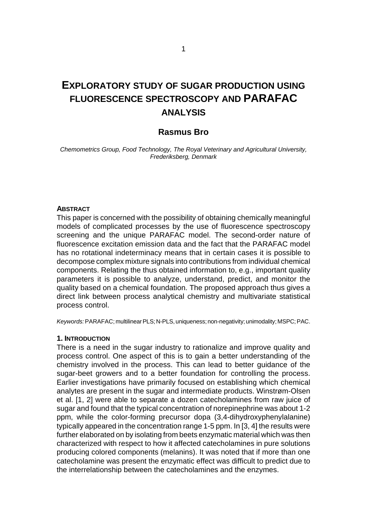# **EXPLORATORY STUDY OF SUGAR PRODUCTION USING FLUORESCENCE SPECTROSCOPY AND PARAFAC ANALYSIS**

## **Rasmus Bro**

*Chemometrics Group, Food Technology, The Royal Veterinary and Agricultural University, Frederiksberg, Denmark*

#### **ABSTRACT**

This paper is concerned with the possibility of obtaining chemically meaningful models of complicated processes by the use of fluorescence spectroscopy screening and the unique PARAFAC model. The second-order nature of fluorescence excitation emission data and the fact that the PARAFAC model has no rotational indeterminacy means that in certain cases it is possible to decompose complex mixture signals into contributions from individual chemical components. Relating the thus obtained information to, e.g., important quality parameters it is possible to analyze, understand, predict, and monitor the quality based on a chemical foundation. The proposed approach thus gives a direct link between process analytical chemistry and multivariate statistical process control.

*Keywords:*PARAFAC; multilinear PLS; N-PLS, uniqueness; non-negativity; unimodality; MSPC; PAC.

#### **1. INTRODUCTION**

There is a need in the sugar industry to rationalize and improve quality and process control. One aspect of this is to gain a better understanding of the chemistry involved in the process. This can lead to better guidance of the sugar-beet growers and to a better foundation for controlling the process. Earlier investigations have primarily focused on establishing which chemical analytes are present in the sugar and intermediate products. Winstrøm-Olsen et al. [1, 2] were able to separate a dozen catecholamines from raw juice of sugar and found that the typical concentration of norepinephrine was about 1-2 ppm, while the color-forming precursor dopa (3,4-dihydroxyphenylalanine) typically appeared in the concentration range 1-5 ppm. In [3, 4] the results were further elaborated on by isolating from beets enzymatic material which was then characterized with respect to how it affected catecholamines in pure solutions producing colored components (melanins). It was noted that if more than one catecholamine was present the enzymatic effect was difficult to predict due to the interrelationship between the catecholamines and the enzymes.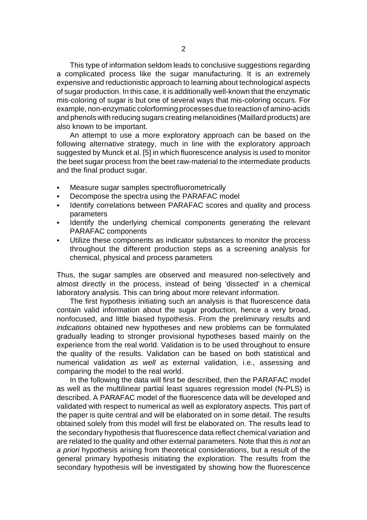This type of information seldom leads to conclusive suggestions regarding a complicated process like the sugar manufacturing. It is an extremely expensive and reductionistic approach to learning about technological aspects of sugar production. In this case, it is additionally well-known that the enzymatic mis-coloring of sugar is but one of several ways that mis-coloring occurs. For example, non-enzymatic colorforming processes due to reaction of amino-acids and phenols with reducing sugars creating melanoidines (Maillard products) are also known to be important.

An attempt to use a more exploratory approach can be based on the following alternative strategy, much in line with the exploratory approach suggested by Munck et al. [5] in which fluorescence analysis is used to monitor the beet sugar process from the beet raw-material to the intermediate products and the final product sugar.

- Measure sugar samples spectrofluorometrically
- Decompose the spectra using the PARAFAC model
- Identify correlations between PARAFAC scores and quality and process parameters
- Identify the underlying chemical components generating the relevant PARAFAC components
- Utilize these components as indicator substances to monitor the process throughout the different production steps as a screening analysis for chemical, physical and process parameters

Thus, the sugar samples are observed and measured non-selectively and almost directly in the process, instead of being 'dissected' in a chemical laboratory analysis. This can bring about more relevant information.

The first hypothesis initiating such an analysis is that fluorescence data contain valid information about the sugar production, hence a very broad, nonfocused, and little biased hypothesis. From the preliminary results and *indications* obtained new hypotheses and new problems can be formulated gradually leading to stronger provisional hypotheses based mainly on the experience from the real world. Validation is to be used throughout to ensure the quality of the results. Validation can be based on both statistical and numerical validation *as well as* external validation, i.e., assessing and comparing the model to the real world.

In the following the data will first be described, then the PARAFAC model as well as the multilinear partial least squares regression model (N-PLS) is described. A PARAFAC model of the fluorescence data will be developed and validated with respect to numerical as well as exploratory aspects. This part of the paper is quite central and will be elaborated on in some detail. The results obtained solely from this model will first be elaborated on. The results lead to the secondary hypothesis that fluorescence data reflect chemical variation and are related to the quality and other external parameters. Note that this *is not* an *a priori* hypothesis arising from theoretical considerations, but a result of the general primary hypothesis initiating the exploration. The results from the secondary hypothesis will be investigated by showing how the fluorescence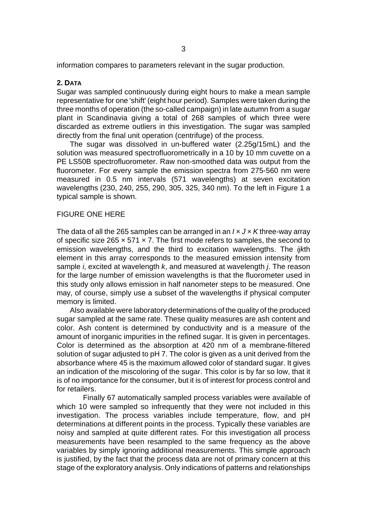information compares to parameters relevant in the sugar production.

#### **2. DATA**

Sugar was sampled continuously during eight hours to make a mean sample representative for one 'shift' (eight hour period). Samples were taken during the three months of operation (the so-called campaign) in late autumn from a sugar plant in Scandinavia giving a total of 268 samples of which three were discarded as extreme outliers in this investigation. The sugar was sampled directly from the final unit operation (centrifuge) of the process.

The sugar was dissolved in un-buffered water (2.25g/15mL) and the solution was measured spectrofluorometrically in a 10 by 10 mm cuvette on a PE LS50B spectrofluorometer. Raw non-smoothed data was output from the fluorometer. For every sample the emission spectra from 275-560 nm were measured in 0.5 nm intervals (571 wavelengths) at seven excitation wavelengths (230, 240, 255, 290, 305, 325, 340 nm). To the left in Figure 1 a typical sample is shown.

#### FIGURE ONE HERE

The data of all the 265 samples can be arranged in an  $I \times J \times K$  three-way array of specific size 265  $\times$  571  $\times$  7. The first mode refers to samples, the second to emission wavelengths, and the third to excitation wavelengths. The *ijk*th element in this array corresponds to the measured emission intensity from sample *i*, excited at wavelength *k*, and measured at wavelength *j*. The reason for the large number of emission wavelengths is that the fluorometer used in this study only allows emission in half nanometer steps to be measured. One may, of course, simply use a subset of the wavelengths if physical computer memory is limited.

Also available were laboratory determinations of the quality of the produced sugar sampled at the same rate. These quality measures are ash content and color. Ash content is determined by conductivity and is a measure of the amount of inorganic impurities in the refined sugar. It is given in percentages. Color is determined as the absorption at 420 nm of a membrane-filtered solution of sugar adjusted to pH 7. The color is given as a unit derived from the absorbance where 45 is the maximum allowed color of standard sugar. It gives an indication of the miscoloring of the sugar. This color is by far so low, that it is of no importance for the consumer, but it is of interest for process control and for retailers.

Finally 67 automatically sampled process variables were available of which 10 were sampled so infrequently that they were not included in this investigation. The process variables include temperature, flow, and pH determinations at different points in the process. Typically these variables are noisy and sampled at quite different rates. For this investigation all process measurements have been resampled to the same frequency as the above variables by simply ignoring additional measurements. This simple approach is justified, by the fact that the process data are not of primary concern at this stage of the exploratory analysis. Only indications of patterns and relationships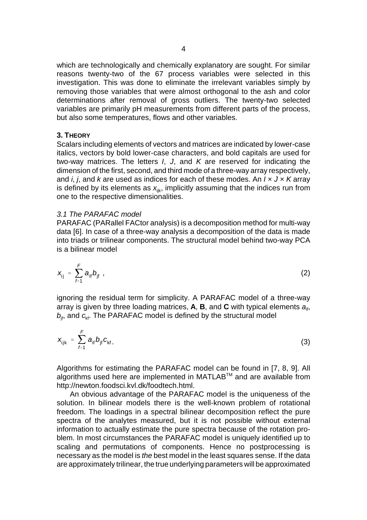which are technologically and chemically explanatory are sought. For similar reasons twenty-two of the 67 process variables were selected in this investigation. This was done to eliminate the irrelevant variables simply by removing those variables that were almost orthogonal to the ash and color determinations after removal of gross outliers. The twenty-two selected variables are primarily pH measurements from different parts of the process, but also some temperatures, flows and other variables.

## **3. THEORY**

Scalars including elements of vectors and matrices are indicated by lower-case italics, vectors by bold lower-case characters, and bold capitals are used for two-way matrices. The letters *I*, *J*, and *K* are reserved for indicating the dimension of the first, second, and third mode of a three-way array respectively, and *i*, *j*, and *k* are used as indices for each of these modes. An *I* × *J* × *K* array is defined by its elements as  $x_{ik}$ , implicitly assuming that the indices run from one to the respective dimensionalities.

#### *3.1 The PARAFAC model*

PARAFAC (PARallel FACtor analysis) is a decomposition method for multi-way data [6]. In case of a three-way analysis a decomposition of the data is made into triads or trilinear components. The structural model behind two-way PCA is a bilinear model

$$
x_{ij} = \sum_{f=1}^{F} a_{if} b_{jf} \t\t(2)
$$

ignoring the residual term for simplicity. A PARAFAC model of a three-way array is given by three loading matrices, A, B, and C with typical elements  $a_{ij}$ ,  $b_{ij}$ , and  $c_{ki}$ . The PARAFAC model is defined by the structural model

$$
x_{ijk} = \sum_{f=1}^{F} a_{if} b_{jf} c_{kt}.
$$
 (3)

Algorithms for estimating the PARAFAC model can be found in [7, 8, 9]. All algorithms used here are implemented in MATLAB™ and are available from http://newton.foodsci.kvl.dk/foodtech.html.

An obvious advantage of the PARAFAC model is the uniqueness of the solution. In bilinear models there is the well-known problem of rotational freedom. The loadings in a spectral bilinear decomposition reflect the pure spectra of the analytes measured, but it is not possible without external information to actually estimate the pure spectra because of the rotation problem. In most circumstances the PARAFAC model is uniquely identified up to scaling and permutations of components. Hence no postprocessing is necessary as the model is *the* best model in the least squares sense. If the data are approximately trilinear, the true underlying parameters will be approximated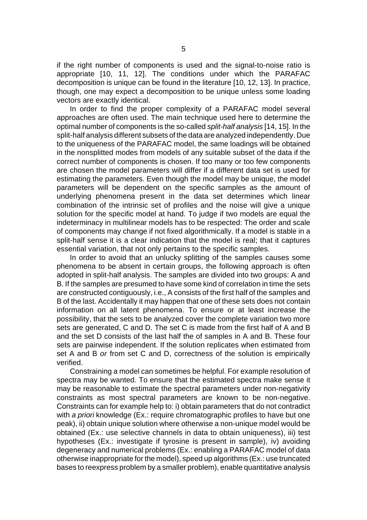if the right number of components is used and the signal-to-noise ratio is appropriate [10, 11, 12]. The conditions under which the PARAFAC decomposition is unique can be found in the literature [10, 12, 13]. In practice, though, one may expect a decomposition to be unique unless some loading vectors are exactly identical.

In order to find the proper complexity of a PARAFAC model several approaches are often used. The main technique used here to determine the optimal number of components is the so-called *split-half analysis* [14, 15]. In the split-half analysis different subsets of the data are analyzed independently. Due to the uniqueness of the PARAFAC model, the same loadings will be obtained in the nonsplitted modes from models of any suitable subset of the data if the correct number of components is chosen. If too many or too few components are chosen the model parameters will differ if a different data set is used for estimating the parameters. Even though the model may be unique, the model parameters will be dependent on the specific samples as the amount of underlying phenomena present in the data set determines which linear combination of the intrinsic set of profiles and the noise will give a unique solution for the specific model at hand. To judge if two models are equal the indeterminacy in multilinear models has to be respected: The order and scale of components may change if not fixed algorithmically. If a model is stable in a split-half sense it is a clear indication that the model is real; that it captures essential variation, that not only pertains to the specific samples.

In order to avoid that an unlucky splitting of the samples causes some phenomena to be absent in certain groups, the following approach is often adopted in split-half analysis. The samples are divided into two groups: A and B. If the samples are presumed to have some kind of correlation in time the sets are constructed contiguously, i.e., A consists of the first half of the samples and B of the last. Accidentally it may happen that one of these sets does not contain information on all latent phenomena. To ensure or at least increase the possibility, that the sets to be analyzed cover the complete variation two more sets are generated, C and D. The set C is made from the first half of A and B and the set D consists of the last half the of samples in A and B. These four sets are pairwise independent. If the solution replicates when estimated from set A and B *or* from set C and D, correctness of the solution is empirically verified.

Constraining a model can sometimes be helpful. For example resolution of spectra may be wanted. To ensure that the estimated spectra make sense it may be reasonable to estimate the spectral parameters under non-negativity constraints as most spectral parameters are known to be non-negative. Constraints can for example help to: i) obtain parameters that do not contradict with *a priori* knowledge (Ex.: require chromatographic profiles to have but one peak), ii) obtain unique solution where otherwise a non-unique model would be obtained (Ex.: use selective channels in data to obtain uniqueness), iii) test hypotheses (Ex.: investigate if tyrosine is present in sample), iv) avoiding degeneracy and numerical problems (Ex.: enabling a PARAFAC model of data otherwise inappropriate for the model), speed up algorithms (Ex.: use truncated bases to reexpress problem by a smaller problem), enable quantitative analysis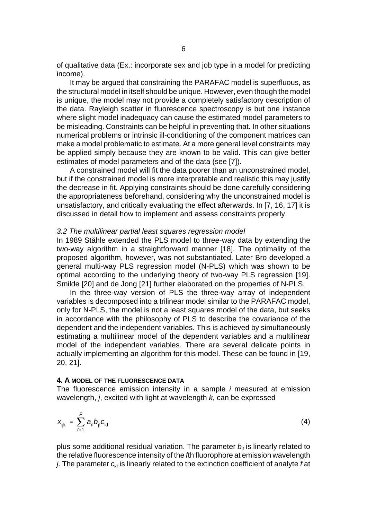of qualitative data (Ex.: incorporate sex and job type in a model for predicting income).

It may be argued that constraining the PARAFAC model is superfluous, as the structural model in itself should be unique. However, even though the model is unique, the model may not provide a completely satisfactory description of the data. Rayleigh scatter in fluorescence spectroscopy is but one instance where slight model inadequacy can cause the estimated model parameters to be misleading. Constraints can be helpful in preventing that. In other situations numerical problems or intrinsic ill-conditioning of the component matrices can make a model problematic to estimate. At a more general level constraints may be applied simply because they are known to be valid. This can give better estimates of model parameters and of the data (see [7]).

A constrained model will fit the data poorer than an unconstrained model, but if the constrained model is more interpretable and realistic this may justify the decrease in fit. Applying constraints should be done carefully considering the appropriateness beforehand, considering why the unconstrained model is unsatisfactory, and critically evaluating the effect afterwards. In [7, 16, 17] it is discussed in detail how to implement and assess constraints properly.

#### *3.2 The multilinear partial least squares regression model*

In 1989 Ståhle extended the PLS model to three-way data by extending the two-way algorithm in a straightforward manner [18]. The optimality of the proposed algorithm, however, was not substantiated. Later Bro developed a general multi-way PLS regression model (N-PLS) which was shown to be optimal according to the underlying theory of two-way PLS regression [19]. Smilde [20] and de Jong [21] further elaborated on the properties of N-PLS.

In the three-way version of PLS the three-way array of independent variables is decomposed into a trilinear model similar to the PARAFAC model, only for N-PLS, the model is not a least squares model of the data, but seeks in accordance with the philosophy of PLS to describe the covariance of the dependent and the independent variables. This is achieved by simultaneously estimating a multilinear model of the dependent variables and a multilinear model of the independent variables. There are several delicate points in actually implementing an algorithm for this model. These can be found in [19, 20, 21].

#### **4. A MODEL OF THE FLUORESCENCE DATA**

The fluorescence emission intensity in a sample *i* measured at emission wavelength, *j*, excited with light at wavelength *k*, can be expressed

$$
x_{ijk} = \sum_{f=1}^{F} a_{if} b_{jf} c_{kf} \tag{4}
$$

plus some additional residual variation. The parameter  $b_{ij}$  is linearly related to the relative fluorescence intensity of the *f*th fluorophore at emission wavelength *j*. The parameter  $c_{kt}$  is linearly related to the extinction coefficient of analyte *f* at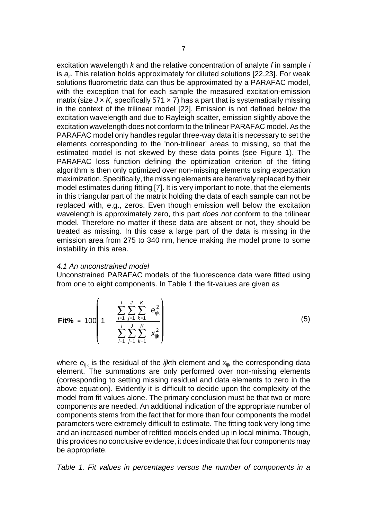excitation wavelength *k* and the relative concentration of analyte *f* in sample *i* is  $a_{ij}$ . This relation holds approximately for diluted solutions [22,23]. For weak solutions fluorometric data can thus be approximated by a PARAFAC model, with the exception that for each sample the measured excitation-emission matrix (size  $J \times K$ , specifically 571  $\times$  7) has a part that is systematically missing in the context of the trilinear model [22]. Emission is not defined below the excitation wavelength and due to Rayleigh scatter, emission slightly above the excitation wavelength does not conform to the trilinear PARAFAC model. As the PARAFAC model only handles regular three-way data it is necessary to set the elements corresponding to the 'non-trilinear' areas to missing, so that the estimated model is not skewed by these data points (see Figure 1). The PARAFAC loss function defining the optimization criterion of the fitting algorithm is then only optimized over non-missing elements using expectation maximization. Specifically, the missing elements are iteratively replaced by their model estimates during fitting [7]. It is very important to note, that the elements in this triangular part of the matrix holding the data of each sample can not be replaced with, e.g., zeros. Even though emission well below the excitation wavelength is approximately zero, this part *does not* conform to the trilinear model. Therefore no matter if these data are absent or not, they should be treated as missing. In this case a large part of the data is missing in the emission area from 275 to 340 nm, hence making the model prone to some instability in this area.

#### *4.1 An unconstrained model*

Unconstrained PARAFAC models of the fluorescence data were fitted using from one to eight components. In Table 1 the fit-values are given as

$$
\text{Fit%} = 100 \left( 1 - \frac{\sum_{i=1}^{I} \sum_{j=1}^{J} \sum_{k=1}^{K} e_{ijk}^{2}}{\sum_{i=1}^{I} \sum_{j=1}^{J} \sum_{k=1}^{K} x_{ijk}^{2}} \right)
$$
(5)

where  $e_{ijk}$  is the residual of the *ijk*th element and  $x_{ijk}$  the corresponding data element. The summations are only performed over non-missing elements (corresponding to setting missing residual and data elements to zero in the above equation). Evidently it is difficult to decide upon the complexity of the model from fit values alone. The primary conclusion must be that two or more components are needed. An additional indication of the appropriate number of components stems from the fact that for more than four components the model parameters were extremely difficult to estimate. The fitting took very long time and an increased number of refitted models ended up in local minima. Though, this provides no conclusive evidence, it does indicate that four components may be appropriate.

*Table 1. Fit values in percentages versus the number of components in a*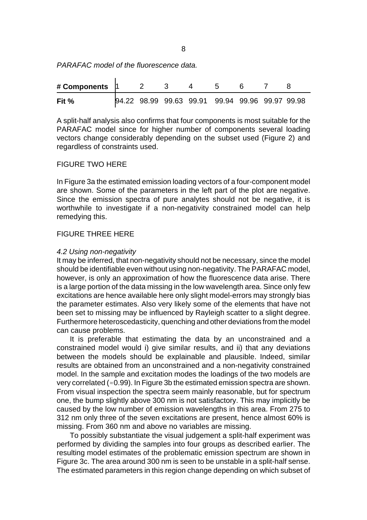*PARAFAC model of the fluorescence data.*

| # Components 1 |  |                                                 |  |  |
|----------------|--|-------------------------------------------------|--|--|
| Fit %          |  | 94.22 98.99 99.63 99.91 99.94 99.96 99.97 99.98 |  |  |

A split-half analysis also confirms that four components is most suitable for the PARAFAC model since for higher number of components several loading vectors change considerably depending on the subset used (Figure 2) and regardless of constraints used.

## FIGURE TWO HERE

In Figure 3a the estimated emission loading vectors of a four-component model are shown. Some of the parameters in the left part of the plot are negative. Since the emission spectra of pure analytes should not be negative, it is worthwhile to investigate if a non-negativity constrained model can help remedying this.

# FIGURE THREE HERE

#### *4.2 Using non-negativity*

It may be inferred, that non-negativity should not be necessary, since the model should be identifiable even without using non-negativity. The PARAFAC model, however, is only an approximation of how the fluorescence data arise. There is a large portion of the data missing in the low wavelength area. Since only few excitations are hence available here only slight model-errors may strongly bias the parameter estimates. Also very likely some of the elements that have not been set to missing may be influenced by Rayleigh scatter to a slight degree. Furthermore heteroscedasticity, quenching and other deviations from the model can cause problems.

It is preferable that estimating the data by an unconstrained and a constrained model would i) give similar results, and ii) that any deviations between the models should be explainable and plausible. Indeed, similar results are obtained from an unconstrained and a non-negativity constrained model. In the sample and excitation modes the loadings of the two models are very correlated ( $\approx$  0.99). In Figure 3b the estimated emission spectra are shown. From visual inspection the spectra seem mainly reasonable, but for spectrum one, the bump slightly above 300 nm is not satisfactory. This may implicitly be caused by the low number of emission wavelengths in this area. From 275 to 312 nm only three of the seven excitations are present, hence almost 60% is missing. From 360 nm and above no variables are missing.

To possibly substantiate the visual judgement a split-half experiment was performed by dividing the samples into four groups as described earlier. The resulting model estimates of the problematic emission spectrum are shown in Figure 3c. The area around 300 nm is seen to be unstable in a split-half sense. The estimated parameters in this region change depending on which subset of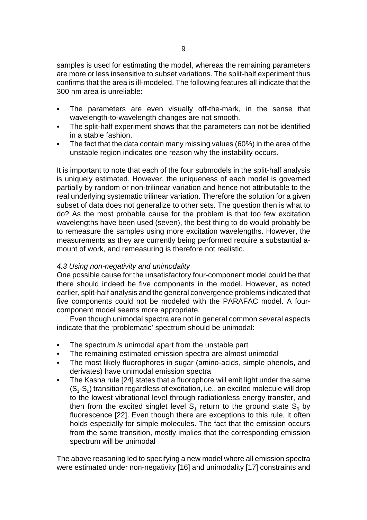samples is used for estimating the model, whereas the remaining parameters are more or less insensitive to subset variations. The split-half experiment thus confirms that the area is ill-modeled. The following features all indicate that the

- The parameters are even visually off-the-mark, in the sense that wavelength-to-wavelength changes are not smooth.
- The split-half experiment shows that the parameters can not be identified in a stable fashion.
- The fact that the data contain many missing values (60%) in the area of the unstable region indicates one reason why the instability occurs.

It is important to note that each of the four submodels in the split-half analysis is uniquely estimated. However, the uniqueness of each model is governed partially by random or non-trilinear variation and hence not attributable to the real underlying systematic trilinear variation. Therefore the solution for a given subset of data does not generalize to other sets. The question then is what to do? As the most probable cause for the problem is that too few excitation wavelengths have been used (seven), the best thing to do would probably be to remeasure the samples using more excitation wavelengths. However, the measurements as they are currently being performed require a substantial amount of work, and remeasuring is therefore not realistic.

# *4.3 Using non-negativity and unimodality*

300 nm area is unreliable:

One possible cause for the unsatisfactory four-component model could be that there should indeed be five components in the model. However, as noted earlier, split-half analysis and the general convergence problems indicated that five components could not be modeled with the PARAFAC model. A fourcomponent model seems more appropriate.

Even though unimodal spectra are not in general common several aspects indicate that the 'problematic' spectrum should be unimodal:

- The spectrum *is* unimodal apart from the unstable part
- The remaining estimated emission spectra are almost unimodal
- The most likely fluorophores in sugar (amino-acids, simple phenols, and derivates) have unimodal emission spectra
- The Kasha rule [24] states that a fluorophore will emit light under the same (S<sub>1</sub>-S<sub>0</sub>) transition regardless of excitation, i.e., an excited molecule will drop to the lowest vibrational level through radiationless energy transfer, and then from the excited singlet level  $\mathsf{S}_1$  return to the ground state  $\mathsf{S}_0$  by fluorescence [22]. Even though there are exceptions to this rule, it often holds especially for simple molecules. The fact that the emission occurs from the same transition, mostly implies that the corresponding emission spectrum will be unimodal

The above reasoning led to specifying a new model where all emission spectra were estimated under non-negativity [16] and unimodality [17] constraints and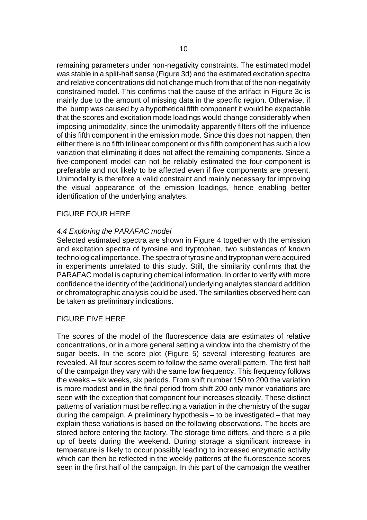remaining parameters under non-negativity constraints. The estimated model was stable in a split-half sense (Figure 3d) and the estimated excitation spectra and relative concentrations did not change much from that of the non-negativity constrained model. This confirms that the cause of the artifact in Figure 3c is mainly due to the amount of missing data in the specific region. Otherwise, if the bump was caused by a hypothetical fifth component it would be expectable that the scores and excitation mode loadings would change considerably when imposing unimodality, since the unimodality apparently filters off the influence of this fifth component in the emission mode. Since this does not happen, then either there is no fifth trilinear component or this fifth component has such a low variation that eliminating it does not affect the remaining components. Since a five-component model can not be reliably estimated the four-component is preferable and not likely to be affected even if five components are present. Unimodality is therefore a valid constraint and mainly necessary for improving the visual appearance of the emission loadings, hence enabling better identification of the underlying analytes.

# FIGURE FOUR HERE

## *4.4 Exploring the PARAFAC model*

Selected estimated spectra are shown in Figure 4 together with the emission and excitation spectra of tyrosine and tryptophan, two substances of known technological importance. The spectra of tyrosine and tryptophan were acquired in experiments unrelated to this study. Still, the similarity confirms that the PARAFAC model is capturing chemical information. In order to verify with more confidence the identity of the (additional) underlying analytes standard addition or chromatographic analysis could be used. The similarities observed here can be taken as preliminary indications.

# FIGURE FIVE HERE

The scores of the model of the fluorescence data are estimates of relative concentrations, or in a more general setting a window into the chemistry of the sugar beets. In the score plot (Figure 5) several interesting features are revealed. All four scores seem to follow the same overall pattern. The first half of the campaign they vary with the same low frequency. This frequency follows the weeks – six weeks, six periods. From shift number 150 to 200 the variation is more modest and in the final period from shift 200 only minor variations are seen with the exception that component four increases steadily. These distinct patterns of variation must be reflecting a variation in the chemistry of the sugar during the campaign. A preliminary hypothesis – to be investigated – that may explain these variations is based on the following observations. The beets are stored before entering the factory. The storage time differs, and there is a pile up of beets during the weekend. During storage a significant increase in temperature is likely to occur possibly leading to increased enzymatic activity which can then be reflected in the weekly patterns of the fluorescence scores seen in the first half of the campaign. In this part of the campaign the weather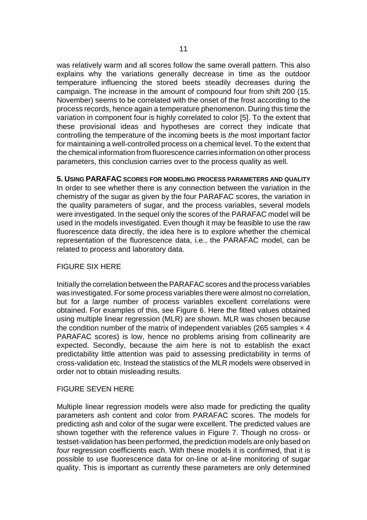was relatively warm and all scores follow the same overall pattern. This also explains why the variations generally decrease in time as the outdoor temperature influencing the stored beets steadily decreases during the campaign. The increase in the amount of compound four from shift 200 (15. November) seems to be correlated with the onset of the frost according to the process records, hence again a temperature phenomenon. During this time the variation in component four is highly correlated to color [5]. To the extent that these provisional ideas and hypotheses are correct they indicate that controlling the temperature of the incoming beets is *the* most important factor for maintaining a well-controlled process on a chemical level. To the extent that the chemical information from fluorescence carries information on other process parameters, this conclusion carries over to the process quality as well.

**5. USING PARAFAC SCORES FOR MODELING PROCESS PARAMETERS AND QUALITY** In order to see whether there is any connection between the variation in the chemistry of the sugar as given by the four PARAFAC scores, the variation in the quality parameters of sugar, and the process variables, several models were investigated. In the sequel only the scores of the PARAFAC model will be used in the models investigated. Even though it may be feasible to use the raw fluorescence data directly, the idea here is to explore whether the chemical representation of the fluorescence data, i.e., the PARAFAC model, can be related to process and laboratory data.

# FIGURE SIX HERE

Initially the correlation between the PARAFAC scores and the process variables was investigated. For some process variables there were almost no correlation, but for a large number of process variables excellent correlations were obtained. For examples of this, see Figure 6. Here the fitted values obtained using multiple linear regression (MLR) are shown. MLR was chosen because the condition number of the matrix of independent variables  $(265 \text{ samples} \times 4)$ PARAFAC scores) is low, hence no problems arising from collinearity are expected. Secondly, because the aim here is not to establish the exact predictability little attention was paid to assessing predictability in terms of cross-validation etc. Instead the statistics of the MLR models were observed in order not to obtain misleading results.

## FIGURE SEVEN HERE

Multiple linear regression models were also made for predicting the quality parameters ash content and color from PARAFAC scores. The models for predicting ash and color of the sugar were excellent. The predicted values are shown together with the reference values in Figure 7. Though no cross- or testset-validation has been performed, the prediction models are only based on *four* regression coefficients each. With these models it is confirmed, that it is possible to use fluorescence data for on-line or at-line monitoring of sugar quality. This is important as currently these parameters are only determined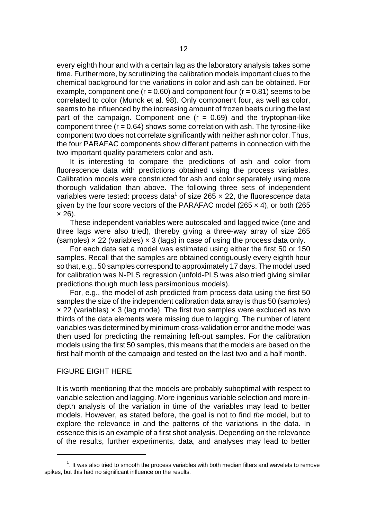every eighth hour and with a certain lag as the laboratory analysis takes some time. Furthermore, by scrutinizing the calibration models important clues to the chemical background for the variations in color and ash can be obtained. For example, component one ( $r = 0.60$ ) and component four ( $r = 0.81$ ) seems to be correlated to color (Munck et al. 98). Only component four, as well as color, seems to be influenced by the increasing amount of frozen beets during the last part of the campaign. Component one  $(r = 0.69)$  and the tryptophan-like component three  $(r = 0.64)$  shows some correlation with ash. The tyrosine-like component two does not correlate significantly with neither ash nor color. Thus, the four PARAFAC components show different patterns in connection with the two important quality parameters color and ash.

It is interesting to compare the predictions of ash and color from fluorescence data with predictions obtained using the process variables. Calibration models were constructed for ash and color separately using more thorough validation than above. The following three sets of independent variables were tested: process data<sup>1</sup> of size 265  $\times$  22, the fluorescence data given by the four score vectors of the PARAFAC model (265  $\times$  4), or both (265  $\times$  26).

These independent variables were autoscaled and lagged twice (one and three lags were also tried), thereby giving a three-way array of size 265 (samples)  $\times$  22 (variables)  $\times$  3 (lags) in case of using the process data only.

For each data set a model was estimated using either the first 50 or 150 samples. Recall that the samples are obtained contiguously every eighth hour so that, e.g., 50 samples correspond to approximately 17 days. The model used for calibration was N-PLS regression (unfold-PLS was also tried giving similar predictions though much less parsimonious models).

For, e.g., the model of ash predicted from process data using the first 50 samples the size of the independent calibration data array is thus 50 (samples)  $\times$  22 (variables)  $\times$  3 (lag mode). The first two samples were excluded as two thirds of the data elements were missing due to lagging. The number of latent variables was determined by minimum cross-validation error and the model was then used for predicting the remaining left-out samples. For the calibration models using the first 50 samples, this means that the models are based on the first half month of the campaign and tested on the last two and a half month.

## FIGURE EIGHT HERE

It is worth mentioning that the models are probably suboptimal with respect to variable selection and lagging. More ingenious variable selection and more indepth analysis of the variation in time of the variables may lead to better models. However, as stated before, the goal is not to find *the* model, but to explore the relevance in and the patterns of the variations in the data. In essence this is an example of a first shot analysis. Depending on the relevance of the results, further experiments, data, and analyses may lead to better

 $1$ . It was also tried to smooth the process variables with both median filters and wavelets to remove spikes, but this had no significant influence on the results.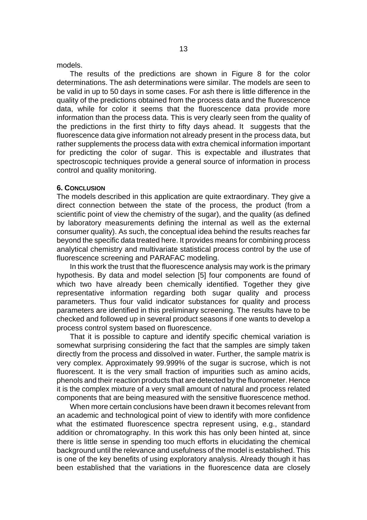models.

The results of the predictions are shown in Figure 8 for the color determinations. The ash determinations were similar. The models are seen to be valid in up to 50 days in some cases. For ash there is little difference in the quality of the predictions obtained from the process data and the fluorescence data, while for color it seems that the fluorescence data provide more information than the process data. This is very clearly seen from the quality of the predictions in the first thirty to fifty days ahead. It suggests that the fluorescence data give information not already present in the process data, but rather supplements the process data with extra chemical information important for predicting the color of sugar. This is expectable and illustrates that spectroscopic techniques provide a general source of information in process control and quality monitoring.

#### **6. CONCLUSION**

The models described in this application are quite extraordinary. They give a direct connection between the state of the process, the product (from a scientific point of view the chemistry of the sugar), and the quality (as defined by laboratory measurements defining the internal as well as the external consumer quality). As such, the conceptual idea behind the results reaches far beyond the specific data treated here. It provides means for combining process analytical chemistry and multivariate statistical process control by the use of fluorescence screening and PARAFAC modeling.

In this work the trust that the fluorescence analysis may work is the primary hypothesis. By data and model selection [5] four components are found of which two have already been chemically identified. Together they give representative information regarding both sugar quality and process parameters. Thus four valid indicator substances for quality and process parameters are identified in this preliminary screening. The results have to be checked and followed up in several product seasons if one wants to develop a process control system based on fluorescence.

That it is possible to capture and identify specific chemical variation is somewhat surprising considering the fact that the samples are simply taken directly from the process and dissolved in water. Further, the sample matrix is very complex. Approximately 99.999% of the sugar is sucrose, which is not fluorescent. It is the very small fraction of impurities such as amino acids, phenols and their reaction products that are detected by the fluorometer. Hence it is the complex mixture of a very small amount of natural and process related components that are being measured with the sensitive fluorescence method.

When more certain conclusions have been drawn it becomes relevant from an academic and technological point of view to identify with more confidence what the estimated fluorescence spectra represent using, e.g., standard addition or chromatography. In this work this has only been hinted at, since there is little sense in spending too much efforts in elucidating the chemical background until the relevance and usefulness of the model is established. This is one of the key benefits of using exploratory analysis. Already though it has been established that the variations in the fluorescence data are closely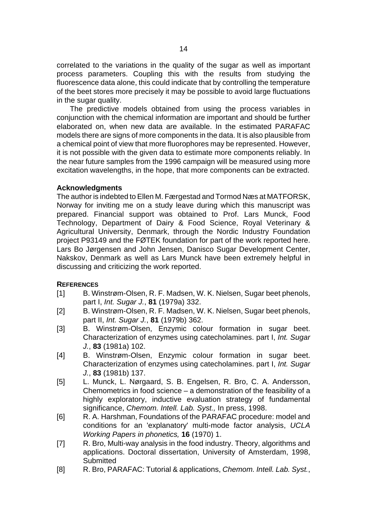correlated to the variations in the quality of the sugar as well as important process parameters. Coupling this with the results from studying the fluorescence data alone, this could indicate that by controlling the temperature of the beet stores more precisely it may be possible to avoid large fluctuations in the sugar quality.

The predictive models obtained from using the process variables in conjunction with the chemical information are important and should be further elaborated on, when new data are available. In the estimated PARAFAC models there are signs of more components in the data. It is also plausible from a chemical point of view that more fluorophores may be represented. However, it is not possible with the given data to estimate more components reliably. In the near future samples from the 1996 campaign will be measured using more excitation wavelengths, in the hope, that more components can be extracted.

## **Acknowledgments**

The author is indebted to Ellen M. Færgestad and Tormod Næs at MATFORSK, Norway for inviting me on a study leave during which this manuscript was prepared. Financial support was obtained to Prof. Lars Munck, Food Technology, Department of Dairy & Food Science, Royal Veterinary & Agricultural University, Denmark, through the Nordic Industry Foundation project P93149 and the FØTEK foundation for part of the work reported here. Lars Bo Jørgensen and John Jensen, Danisco Sugar Development Center, Nakskov, Denmark as well as Lars Munck have been extremely helpful in discussing and criticizing the work reported.

## **REFERENCES**

- [1] B. Winstrøm-Olsen, R. F. Madsen, W. K. Nielsen, Sugar beet phenols, part I, *Int. Sugar J.*, **81** (1979a) 332.
- [2] B. Winstrøm-Olsen, R. F. Madsen, W. K. Nielsen, Sugar beet phenols, part II, *Int. Sugar J.*, **81** (1979b) 362.
- [3] B. Winstrøm-Olsen, Enzymic colour formation in sugar beet. Characterization of enzymes using catecholamines. part I, *Int. Sugar J.*, **83** (1981a) 102.
- [4] B. Winstrøm-Olsen, Enzymic colour formation in sugar beet. Characterization of enzymes using catecholamines. part I, *Int. Sugar J.*, **83** (1981b) 137.
- [5] L. Munck, L. Nørgaard, S. B. Engelsen, R. Bro, C. A. Andersson, Chemometrics in food science – a demonstration of the feasibility of a highly exploratory, inductive evaluation strategy of fundamental significance, *Chemom. Intell. Lab. Syst.,* In press, 1998.
- [6] R. A. Harshman, Foundations of the PARAFAC procedure: model and conditions for an 'explanatory' multi-mode factor analysis, *UCLA Working Papers in phonetics,* **16** (1970) 1.
- [7] R. Bro, Multi-way analysis in the food industry. Theory, algorithms and applications. Doctoral dissertation, University of Amsterdam, 1998, **Submitted**
- [8] R. Bro, PARAFAC: Tutorial & applications, *Chemom. Intell. Lab. Syst.*,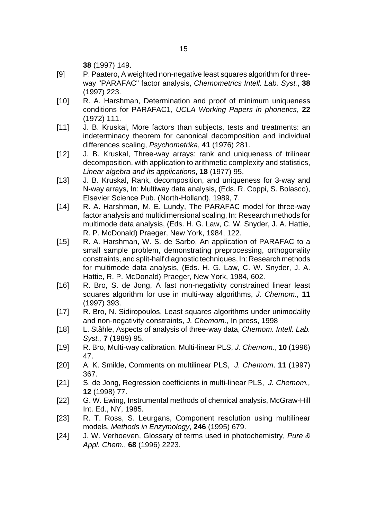**38** (1997) 149.

- [9] P. Paatero, A weighted non-negative least squares algorithm for threeway "PARAFAC" factor analysis, *Chemometrics Intell. Lab. Syst.*, **38** (1997) 223.
- [10] R. A. Harshman, Determination and proof of minimum uniqueness conditions for PARAFAC1, *UCLA Working Papers in phonetics*, **22** (1972) 111.
- [11] J. B. Kruskal, More factors than subjects, tests and treatments: an indeterminacy theorem for canonical decomposition and individual differences scaling, *Psychometrika*, **41** (1976) 281.
- [12] J. B. Kruskal, Three-way arrays: rank and uniqueness of trilinear decomposition, with application to arithmetic complexity and statistics, *Linear algebra and its applications*, **18** (1977) 95.
- [13] J. B. Kruskal, Rank, decomposition, and uniqueness for 3-way and N-way arrays, In: Multiway data analysis, (Eds. R. Coppi, S. Bolasco), Elsevier Science Pub. (North-Holland), 1989, 7.
- [14] R. A. Harshman, M. E. Lundy, The PARAFAC model for three-way factor analysis and multidimensional scaling, In: Research methods for multimode data analysis, (Eds. H. G. Law, C. W. Snyder, J. A. Hattie, R. P. McDonald) Praeger, New York, 1984, 122.
- [15] R. A. Harshman, W. S. de Sarbo, An application of PARAFAC to a small sample problem, demonstrating preprocessing, orthogonality constraints, and split-half diagnostic techniques, In: Research methods for multimode data analysis, (Eds. H. G. Law, C. W. Snyder, J. A. Hattie, R. P. McDonald) Praeger, New York, 1984, 602.
- [16] R. Bro, S. de Jong, A fast non-negativity constrained linear least squares algorithm for use in multi-way algorithms, *J. Chemom.,* **11** (1997) 393.
- [17] R. Bro, N. Sidiropoulos, Least squares algorithms under unimodality and non-negativity constraints, *J. Chemom.*, In press, 1998
- [18] L. Ståhle, Aspects of analysis of three-way data, *Chemom. Intell. Lab. Syst.,* **7** (1989) 95.
- [19] R. Bro, Multi-way calibration. Multi-linear PLS, *J. Chemom.*, **10** (1996) 47.
- [20] A. K. Smilde, Comments on multilinear PLS, *J. Chemom*. **11** (1997) 367.
- [21] S. de Jong, Regression coefficients in multi-linear PLS, *J. Chemom.,* **12** (1998) 77.
- [22] G. W. Ewing, Instrumental methods of chemical analysis, McGraw-Hill Int. Ed., NY, 1985.
- [23] R. T. Ross, S. Leurgans, Component resolution using multilinear models, *Methods in Enzymology*, **246** (1995) 679.
- [24] J. W. Verhoeven, Glossary of terms used in photochemistry, *Pure & Appl. Chem.*, **68** (1996) 2223.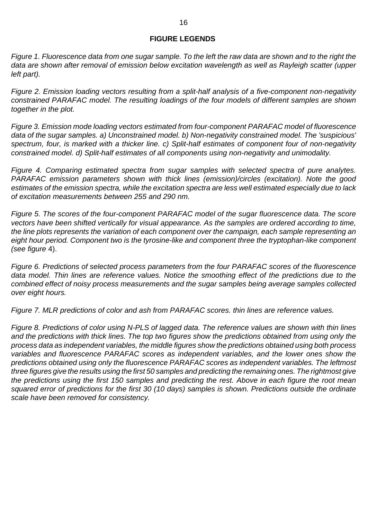# **FIGURE LEGENDS**

*Figure 1. Fluorescence data from one sugar sample. To the left the raw data are shown and to the right the data are shown after removal of emission below excitation wavelength as well as Rayleigh scatter (upper left part).*

*Figure 2. Emission loading vectors resulting from a split-half analysis of a five-component non-negativity constrained PARAFAC model. The resulting loadings of the four models of different samples are shown together in the plot.*

*Figure 3. Emission mode loading vectors estimated from four-component PARAFAC model of fluorescence data of the sugar samples. a) Unconstrained model. b) Non-negativity constrained model. The 'suspicious' spectrum, four, is marked with a thicker line. c) Split-half estimates of component four of non-negativity constrained model. d) Split-half estimates of all components using non-negativity and unimodality.*

*Figure 4. Comparing estimated spectra from sugar samples with selected spectra of pure analytes. PARAFAC emission parameters shown with thick lines (emission)/circles (excitation). Note the good estimates of the emission spectra, while the excitation spectra are less well estimated especially due to lack of excitation measurements between 255 and 290 nm.*

*Figure 5. The scores of the four-component PARAFAC model of the sugar fluorescence data. The score vectors have been shifted vertically for visual appearance. As the samples are ordered according to time, the line plots represents the variation of each component over the campaign, each sample representing an eight hour period. Component two is the tyrosine-like and component three the tryptophan-like component (see figure* 4).

*Figure 6. Predictions of selected process parameters from the four PARAFAC scores of the fluorescence data model. Thin lines are reference values. Notice the smoothing effect of the predictions due to the combined effect of noisy process measurements and the sugar samples being average samples collected over eight hours.*

*Figure 7. MLR predictions of color and ash from PARAFAC scores. thin lines are reference values.*

*Figure 8. Predictions of color using N-PLS of lagged data. The reference values are shown with thin lines and the predictions with thick lines. The top two figures show the predictions obtained from using only the process data as independent variables, the middle figures show the predictions obtained using both process variables and fluorescence PARAFAC scores as independent variables, and the lower ones show the predictions obtained using only the fluorescence PARAFAC scores as independent variables. The leftmost three figures give the results using the first 50 samples and predicting the remaining ones. The rightmost give the predictions using the first 150 samples and predicting the rest. Above in each figure the root mean squared error of predictions for the first 30 (10 days) samples is shown. Predictions outside the ordinate scale have been removed for consistency.*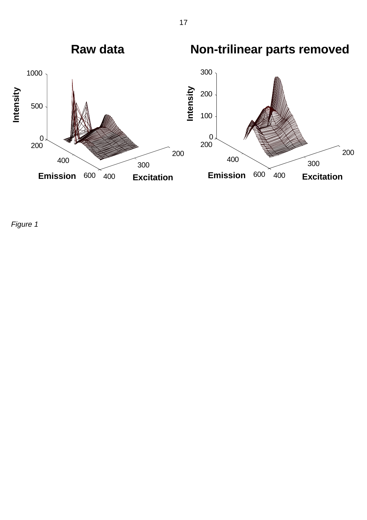**Raw data**

**Non-trilinear parts removed**



*Figure 1*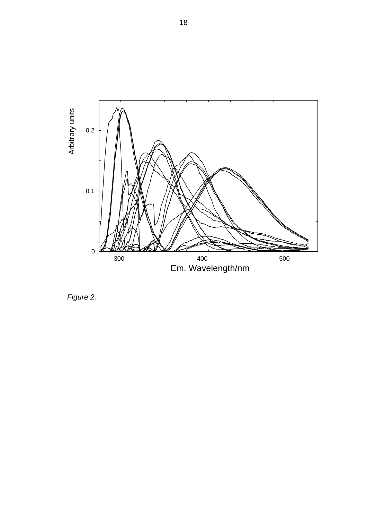

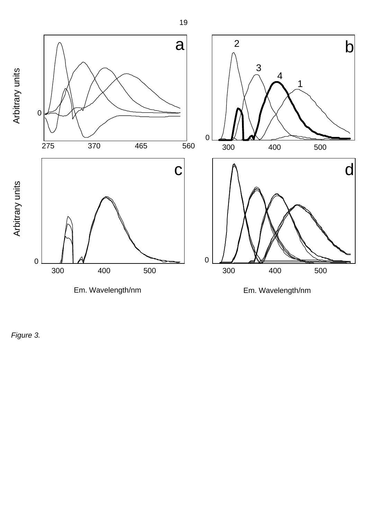

*Figure 3.*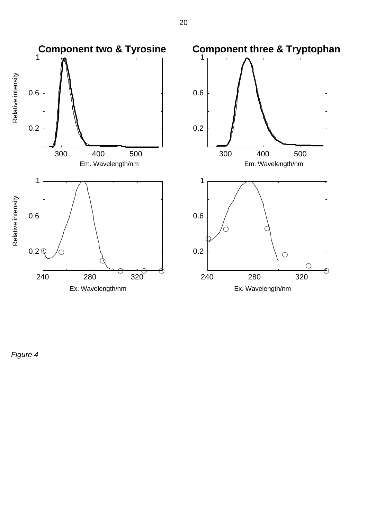

*Figure 4*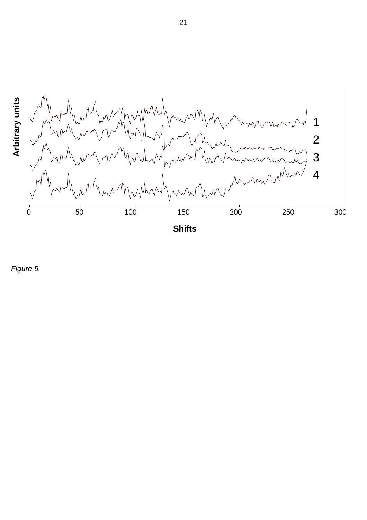

**Shifts**

*Figure 5.*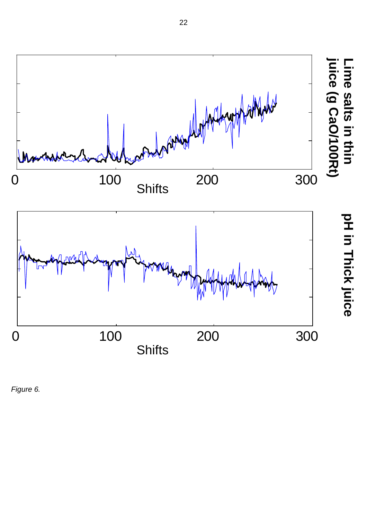

*Figure 6.*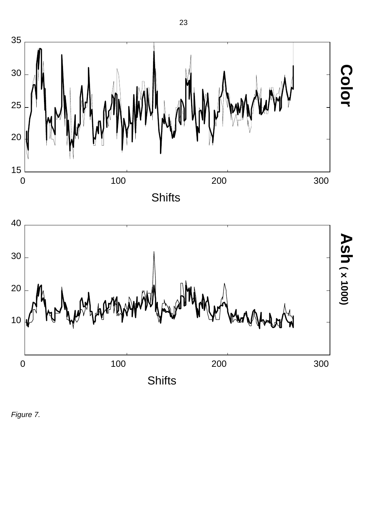